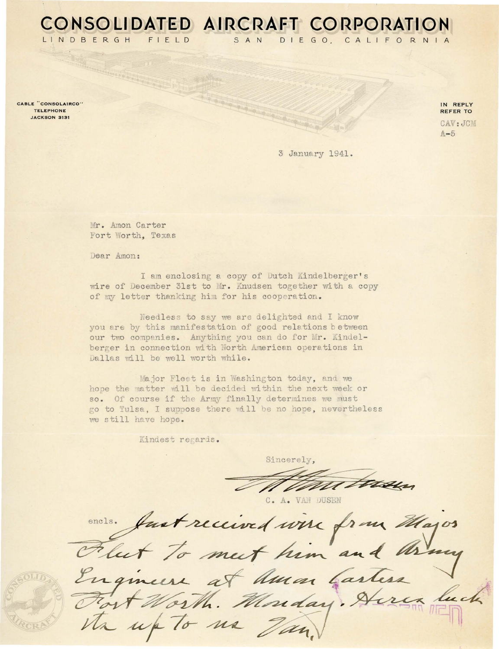LINDBERGH  $F \mid F \mid D$ 

CABLE "CONSOLAIRCO" TELEPHONE JACKSON 3131

IN REPLY REFER TO CAV: JCM  $A-5$ 

3 January 1941.

DIEGO, CALIFORNIA

Mr. Amon Carter Fort Worth, Texas

Dear Amon:

I am enclosing a copy of Dutch Kindelberger's wire of December 31st to Mr. Knudsen together with a copy of my letter thanking him for his cooperation.

CONSOLIDATED AIRCRAFT CORPORATION

SAN

Needless to say we are delighted and I know you are by this manifestation of good relations between our two companies. Anything you can do for Mr. Kindelberger in connection with North American operations in Dallas will be well worth while.

Major Fleet is in Washington today, and we hope the matter will be decided within the next week or so. Of course if the Army finally determines we must go to Tulsa. I suppose there will be no hope, nevertheless we still have hope.

Kindest regards.

Sincerely.

C. A. VAN DUSEN

oners. Just received wire from Majos esth. Monday. na Van